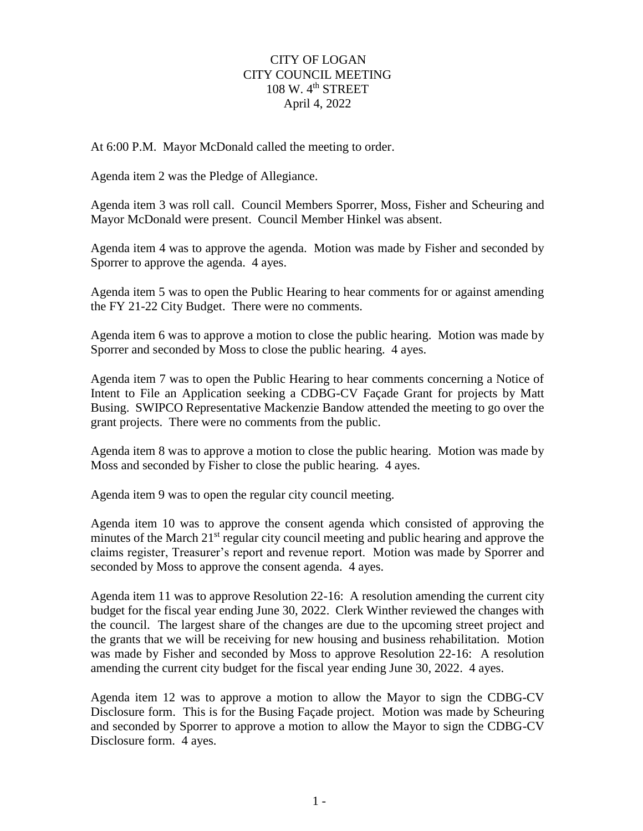## CITY OF LOGAN CITY COUNCIL MEETING  $108 \text{ W}$ .  $4^{\text{th}}$  STREET April 4, 2022

At 6:00 P.M. Mayor McDonald called the meeting to order.

Agenda item 2 was the Pledge of Allegiance.

Agenda item 3 was roll call. Council Members Sporrer, Moss, Fisher and Scheuring and Mayor McDonald were present. Council Member Hinkel was absent.

Agenda item 4 was to approve the agenda. Motion was made by Fisher and seconded by Sporrer to approve the agenda. 4 ayes.

Agenda item 5 was to open the Public Hearing to hear comments for or against amending the FY 21-22 City Budget. There were no comments.

Agenda item 6 was to approve a motion to close the public hearing. Motion was made by Sporrer and seconded by Moss to close the public hearing. 4 ayes.

Agenda item 7 was to open the Public Hearing to hear comments concerning a Notice of Intent to File an Application seeking a CDBG-CV Façade Grant for projects by Matt Busing. SWIPCO Representative Mackenzie Bandow attended the meeting to go over the grant projects. There were no comments from the public.

Agenda item 8 was to approve a motion to close the public hearing. Motion was made by Moss and seconded by Fisher to close the public hearing. 4 ayes.

Agenda item 9 was to open the regular city council meeting.

Agenda item 10 was to approve the consent agenda which consisted of approving the minutes of the March 21<sup>st</sup> regular city council meeting and public hearing and approve the claims register, Treasurer's report and revenue report. Motion was made by Sporrer and seconded by Moss to approve the consent agenda. 4 ayes.

Agenda item 11 was to approve Resolution 22-16: A resolution amending the current city budget for the fiscal year ending June 30, 2022. Clerk Winther reviewed the changes with the council. The largest share of the changes are due to the upcoming street project and the grants that we will be receiving for new housing and business rehabilitation. Motion was made by Fisher and seconded by Moss to approve Resolution 22-16: A resolution amending the current city budget for the fiscal year ending June 30, 2022. 4 ayes.

Agenda item 12 was to approve a motion to allow the Mayor to sign the CDBG-CV Disclosure form. This is for the Busing Façade project. Motion was made by Scheuring and seconded by Sporrer to approve a motion to allow the Mayor to sign the CDBG-CV Disclosure form. 4 ayes.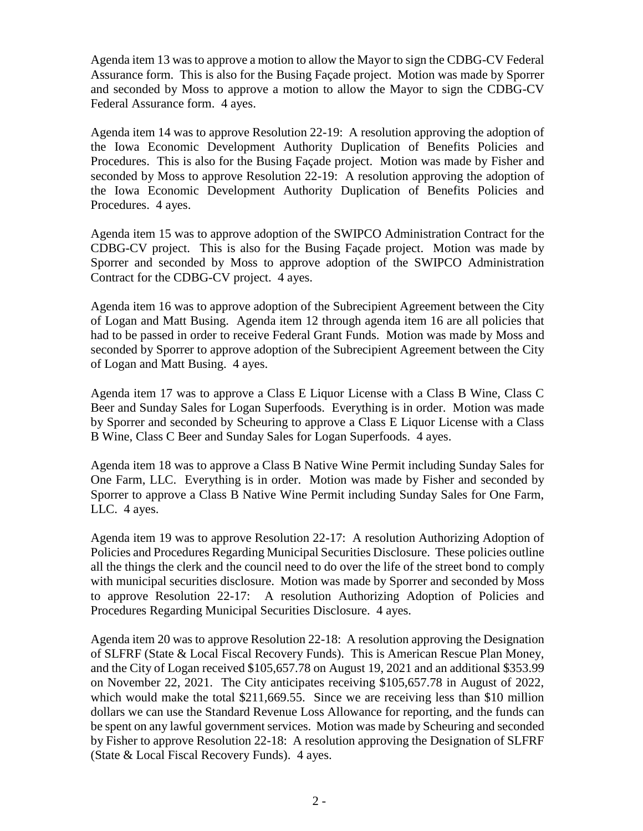Agenda item 13 was to approve a motion to allow the Mayor to sign the CDBG-CV Federal Assurance form. This is also for the Busing Façade project. Motion was made by Sporrer and seconded by Moss to approve a motion to allow the Mayor to sign the CDBG-CV Federal Assurance form. 4 ayes.

Agenda item 14 was to approve Resolution 22-19: A resolution approving the adoption of the Iowa Economic Development Authority Duplication of Benefits Policies and Procedures. This is also for the Busing Façade project. Motion was made by Fisher and seconded by Moss to approve Resolution 22-19: A resolution approving the adoption of the Iowa Economic Development Authority Duplication of Benefits Policies and Procedures. 4 ayes.

Agenda item 15 was to approve adoption of the SWIPCO Administration Contract for the CDBG-CV project. This is also for the Busing Façade project. Motion was made by Sporrer and seconded by Moss to approve adoption of the SWIPCO Administration Contract for the CDBG-CV project. 4 ayes.

Agenda item 16 was to approve adoption of the Subrecipient Agreement between the City of Logan and Matt Busing. Agenda item 12 through agenda item 16 are all policies that had to be passed in order to receive Federal Grant Funds. Motion was made by Moss and seconded by Sporrer to approve adoption of the Subrecipient Agreement between the City of Logan and Matt Busing. 4 ayes.

Agenda item 17 was to approve a Class E Liquor License with a Class B Wine, Class C Beer and Sunday Sales for Logan Superfoods. Everything is in order. Motion was made by Sporrer and seconded by Scheuring to approve a Class E Liquor License with a Class B Wine, Class C Beer and Sunday Sales for Logan Superfoods. 4 ayes.

Agenda item 18 was to approve a Class B Native Wine Permit including Sunday Sales for One Farm, LLC. Everything is in order. Motion was made by Fisher and seconded by Sporrer to approve a Class B Native Wine Permit including Sunday Sales for One Farm, LLC. 4 ayes.

Agenda item 19 was to approve Resolution 22-17: A resolution Authorizing Adoption of Policies and Procedures Regarding Municipal Securities Disclosure. These policies outline all the things the clerk and the council need to do over the life of the street bond to comply with municipal securities disclosure. Motion was made by Sporrer and seconded by Moss to approve Resolution 22-17: A resolution Authorizing Adoption of Policies and Procedures Regarding Municipal Securities Disclosure. 4 ayes.

Agenda item 20 was to approve Resolution 22-18: A resolution approving the Designation of SLFRF (State & Local Fiscal Recovery Funds). This is American Rescue Plan Money, and the City of Logan received \$105,657.78 on August 19, 2021 and an additional \$353.99 on November 22, 2021. The City anticipates receiving \$105,657.78 in August of 2022, which would make the total \$211,669.55. Since we are receiving less than \$10 million dollars we can use the Standard Revenue Loss Allowance for reporting, and the funds can be spent on any lawful government services. Motion was made by Scheuring and seconded by Fisher to approve Resolution 22-18: A resolution approving the Designation of SLFRF (State & Local Fiscal Recovery Funds). 4 ayes.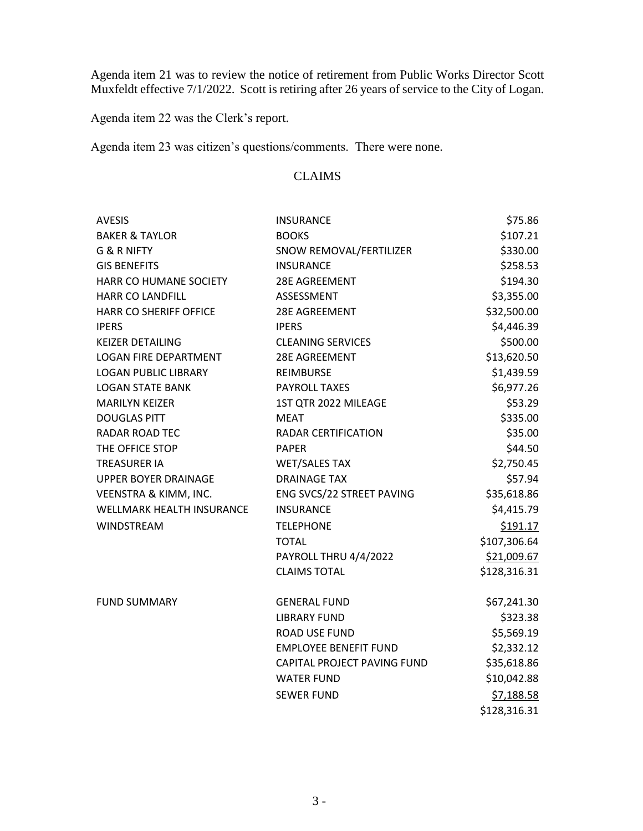Agenda item 21 was to review the notice of retirement from Public Works Director Scott Muxfeldt effective 7/1/2022. Scott is retiring after 26 years of service to the City of Logan.

Agenda item 22 was the Clerk's report.

Agenda item 23 was citizen's questions/comments. There were none.

## CLAIMS

| <b>AVESIS</b>               | <b>INSURANCE</b>             | \$75.86      |
|-----------------------------|------------------------------|--------------|
| <b>BAKER &amp; TAYLOR</b>   | <b>BOOKS</b>                 | \$107.21     |
| <b>G &amp; R NIFTY</b>      | SNOW REMOVAL/FERTILIZER      | \$330.00     |
| <b>GIS BENEFITS</b>         | <b>INSURANCE</b>             | \$258.53     |
| HARR CO HUMANE SOCIETY      | <b>28E AGREEMENT</b>         | \$194.30     |
| <b>HARR CO LANDFILL</b>     | ASSESSMENT                   | \$3,355.00   |
| HARR CO SHERIFF OFFICE      | 28E AGREEMENT                | \$32,500.00  |
| <b>IPERS</b>                | <b>IPERS</b>                 | \$4,446.39   |
| <b>KEIZER DETAILING</b>     | <b>CLEANING SERVICES</b>     | \$500.00     |
| LOGAN FIRE DEPARTMENT       | 28E AGREEMENT                | \$13,620.50  |
| <b>LOGAN PUBLIC LIBRARY</b> | REIMBURSE                    | \$1,439.59   |
| <b>LOGAN STATE BANK</b>     | <b>PAYROLL TAXES</b>         | \$6,977.26   |
| <b>MARILYN KEIZER</b>       | 1ST QTR 2022 MILEAGE         | \$53.29      |
| <b>DOUGLAS PITT</b>         | <b>MEAT</b>                  | \$335.00     |
| RADAR ROAD TEC              | RADAR CERTIFICATION          | \$35.00      |
| THE OFFICE STOP             | <b>PAPER</b>                 | \$44.50      |
| <b>TREASURER IA</b>         | <b>WET/SALES TAX</b>         | \$2,750.45   |
| UPPER BOYER DRAINAGE        | <b>DRAINAGE TAX</b>          | \$57.94      |
| VEENSTRA & KIMM, INC.       | ENG SVCS/22 STREET PAVING    | \$35,618.86  |
| WELLMARK HEALTH INSURANCE   | <b>INSURANCE</b>             | \$4,415.79   |
| <b>WINDSTREAM</b>           | <b>TELEPHONE</b>             | \$191.17     |
|                             | <b>TOTAL</b>                 | \$107,306.64 |
|                             | PAYROLL THRU 4/4/2022        | \$21,009.67  |
|                             | <b>CLAIMS TOTAL</b>          | \$128,316.31 |
| <b>FUND SUMMARY</b>         | <b>GENERAL FUND</b>          | \$67,241.30  |
|                             | <b>LIBRARY FUND</b>          | \$323.38     |
|                             | ROAD USE FUND                | \$5,569.19   |
|                             | <b>EMPLOYEE BENEFIT FUND</b> | \$2,332.12   |
|                             | CAPITAL PROJECT PAVING FUND  | \$35,618.86  |
|                             | <b>WATER FUND</b>            | \$10,042.88  |
|                             | <b>SEWER FUND</b>            | \$7,188.58   |
|                             |                              | \$128,316.31 |